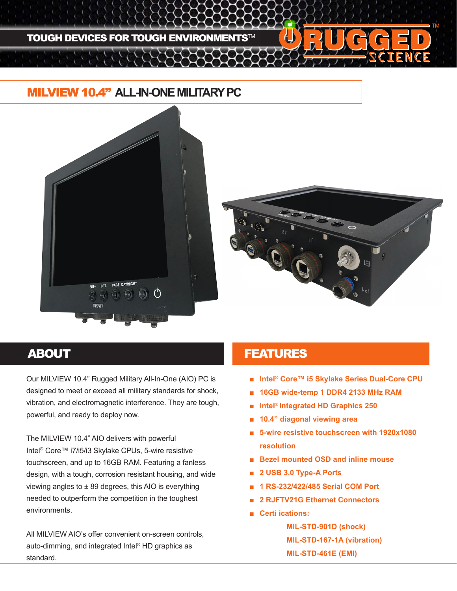

## MILVIEW 10.4" **ALL-IN-ONE MILITARY PC**





Our MILVIEW 10.4" Rugged Military All-In-One (AIO) PC is designed to meet or exceed all military standards for shock, vibration, and electromagnetic interference. They are tough, powerful, and ready to deploy now.

The MILVIEW 10.4" AIO delivers with powerful Intel® Core™ i7/i5/i3 Skylake CPUs, 5-wire resistive touchscreen, and up to 16GB RAM. Featuring a fanless design, with a tough, corrosion resistant housing, and wide viewing angles to  $\pm 89$  degrees, this AIO is everything needed to outperform the competition in the toughest environments.

All MILVIEW AIO's offer convenient on-screen controls, auto-dimming, and integrated Intel® HD graphics as standard.

### ABOUT **FEATURES**

- **Intel® Core™ i5 Skylake Series Dual-Core CPU**
- **16GB wide-temp 1 DDR4 2133 MHz RAM**
- **Intel® Integrated HD Graphics 250**
- **10.4" diagonal viewing area**
- 5-wire resistive touchscreen with 1920x1080 **resolution**
- **Bezel mounted OSD and inline mouse**
- **2 USB 3.0 Type-A Ports**
- **1 RS-232/422/485 Serial COM Port**
- **2 RJFTV21G Ethernet Connectors**
- **Certi ications:**

**MIL-STD-901D (shock) MIL-STD-167-1A (vibration) MIL-STD-461E (EMI)**